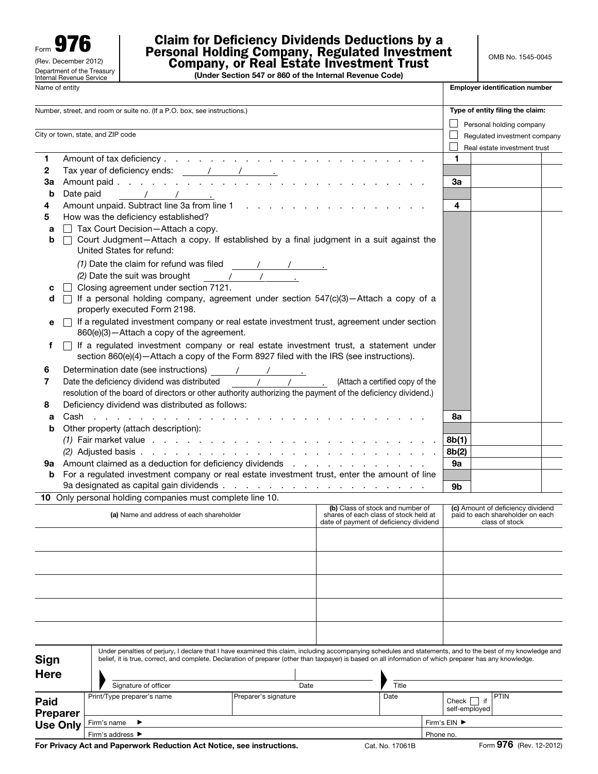Form  $97$ (Rev. December 2012) Name of entity Department of the Treasury Internal Revenue Service

## Claim for Deficiency Dividends Deductions by a Personal Holding Company, Regulated Investment Company, or Real Estate Investment Trust

(Under Section 547 or 860 of the Internal Revenue Code)

| Name of entity                                                                                                |                                                                                                                                                                                                                                       |                                                                                                                                                                                                                                                                                                                                                                                                                                             |                              |                                        |                                                                           |                            | <b>Employer identification number</b>                                                                                        |                                                                                         |  |  |  |  |
|---------------------------------------------------------------------------------------------------------------|---------------------------------------------------------------------------------------------------------------------------------------------------------------------------------------------------------------------------------------|---------------------------------------------------------------------------------------------------------------------------------------------------------------------------------------------------------------------------------------------------------------------------------------------------------------------------------------------------------------------------------------------------------------------------------------------|------------------------------|----------------------------------------|---------------------------------------------------------------------------|----------------------------|------------------------------------------------------------------------------------------------------------------------------|-----------------------------------------------------------------------------------------|--|--|--|--|
| Number, street, and room or suite no. (If a P.O. box, see instructions.)<br>City or town, state, and ZIP code |                                                                                                                                                                                                                                       |                                                                                                                                                                                                                                                                                                                                                                                                                                             |                              |                                        |                                                                           |                            | Type of entity filing the claim:<br>Personal holding company<br>Regulated investment company<br>Real estate investment trust |                                                                                         |  |  |  |  |
| 1<br>$\mathbf{2}$<br>За<br>b                                                                                  | Date paid                                                                                                                                                                                                                             | Tax year of deficiency ends: $\frac{1}{1}$ $\frac{1}{1}$ $\frac{1}{1}$ $\frac{1}{1}$ $\frac{1}{1}$ $\frac{1}{1}$ $\frac{1}{1}$ $\frac{1}{1}$ $\frac{1}{1}$ $\frac{1}{1}$ $\frac{1}{1}$ $\frac{1}{1}$ $\frac{1}{1}$ $\frac{1}{1}$ $\frac{1}{1}$ $\frac{1}{1}$ $\frac{1}{1}$ $\frac{1}{1}$ $\frac{1}{1}$ $\$<br>$\sqrt{1-\sqrt{1-\cdots}}$                                                                                                    |                              |                                        |                                                                           | 1<br>За                    |                                                                                                                              |                                                                                         |  |  |  |  |
| 4<br>5<br>а<br>b                                                                                              |                                                                                                                                                                                                                                       | How was the deficiency established?<br>$\Box$ Tax Court Decision-Attach a copy.<br>□ Court Judgment-Attach a copy. If established by a final judgment in a suit against the<br>United States for refund:                                                                                                                                                                                                                                    |                              |                                        |                                                                           | 4                          |                                                                                                                              |                                                                                         |  |  |  |  |
| с<br>d<br>е                                                                                                   |                                                                                                                                                                                                                                       | (1) Date the claim for refund was filed $\frac{1}{\sqrt{1-\frac{1}{2}}}\left\{\frac{1}{\sqrt{1-\frac{1}{2}}}\right\}$<br>(2) Date the suit was brought $\frac{1}{2}$<br>Closing agreement under section 7121.<br>$\Box$ If a personal holding company, agreement under section 547(c)(3)-Attach a copy of a<br>properly executed Form 2198.<br>□ If a regulated investment company or real estate investment trust, agreement under section |                              |                                        |                                                                           |                            |                                                                                                                              |                                                                                         |  |  |  |  |
| f                                                                                                             | 860(e)(3)-Attach a copy of the agreement.<br>$\Box$ If a regulated investment company or real estate investment trust, a statement under<br>section 860(e)(4) - Attach a copy of the Form 8927 filed with the IRS (see instructions). |                                                                                                                                                                                                                                                                                                                                                                                                                                             |                              |                                        |                                                                           |                            |                                                                                                                              |                                                                                         |  |  |  |  |
| 6<br>7<br>8                                                                                                   |                                                                                                                                                                                                                                       | resolution of the board of directors or other authority authorizing the payment of the deficiency dividend.)<br>Deficiency dividend was distributed as follows:                                                                                                                                                                                                                                                                             |                              |                                        |                                                                           |                            |                                                                                                                              |                                                                                         |  |  |  |  |
| а<br>b<br>9а                                                                                                  |                                                                                                                                                                                                                                       | Other property (attach description):<br>Amount claimed as a deduction for deficiency dividends                                                                                                                                                                                                                                                                                                                                              |                              |                                        |                                                                           | 8а<br>8b(1)<br>8b(2)<br>9a |                                                                                                                              |                                                                                         |  |  |  |  |
| b                                                                                                             |                                                                                                                                                                                                                                       | For a regulated investment company or real estate investment trust, enter the amount of line<br>10 Only personal holding companies must complete line 10.                                                                                                                                                                                                                                                                                   |                              |                                        |                                                                           | 9b                         |                                                                                                                              |                                                                                         |  |  |  |  |
|                                                                                                               |                                                                                                                                                                                                                                       | (a) Name and address of each shareholder                                                                                                                                                                                                                                                                                                                                                                                                    |                              | date of payment of deficiency dividend | (b) Class of stock and number of<br>shares of each class of stock held at |                            |                                                                                                                              | (c) Amount of deficiency dividend<br>paid to each shareholder on each<br>class of stock |  |  |  |  |
|                                                                                                               |                                                                                                                                                                                                                                       |                                                                                                                                                                                                                                                                                                                                                                                                                                             |                              |                                        |                                                                           |                            |                                                                                                                              |                                                                                         |  |  |  |  |
|                                                                                                               |                                                                                                                                                                                                                                       |                                                                                                                                                                                                                                                                                                                                                                                                                                             |                              |                                        |                                                                           |                            |                                                                                                                              |                                                                                         |  |  |  |  |
|                                                                                                               |                                                                                                                                                                                                                                       |                                                                                                                                                                                                                                                                                                                                                                                                                                             |                              |                                        |                                                                           |                            |                                                                                                                              |                                                                                         |  |  |  |  |
| Sign<br>Here                                                                                                  |                                                                                                                                                                                                                                       | Under penalties of perjury, I declare that I have examined this claim, including accompanying schedules and statements, and to the best of my knowledge and<br>belief, it is true, correct, and complete. Declaration of preparer (other than taxpayer) is based on all information of which preparer has any knowledge.                                                                                                                    |                              |                                        |                                                                           |                            |                                                                                                                              |                                                                                         |  |  |  |  |
|                                                                                                               |                                                                                                                                                                                                                                       | Signature of officer<br>Print/Type preparer's name                                                                                                                                                                                                                                                                                                                                                                                          | Date<br>Preparer's signature |                                        | Title<br>Date                                                             |                            |                                                                                                                              | PTIN                                                                                    |  |  |  |  |
| Paid<br>Preparer                                                                                              |                                                                                                                                                                                                                                       |                                                                                                                                                                                                                                                                                                                                                                                                                                             |                              |                                        |                                                                           | Check<br>self-employed     | if                                                                                                                           |                                                                                         |  |  |  |  |

Firm's name ▶ Firm's EIN ▶ Firm's address ▶ Phone no.

Use Only